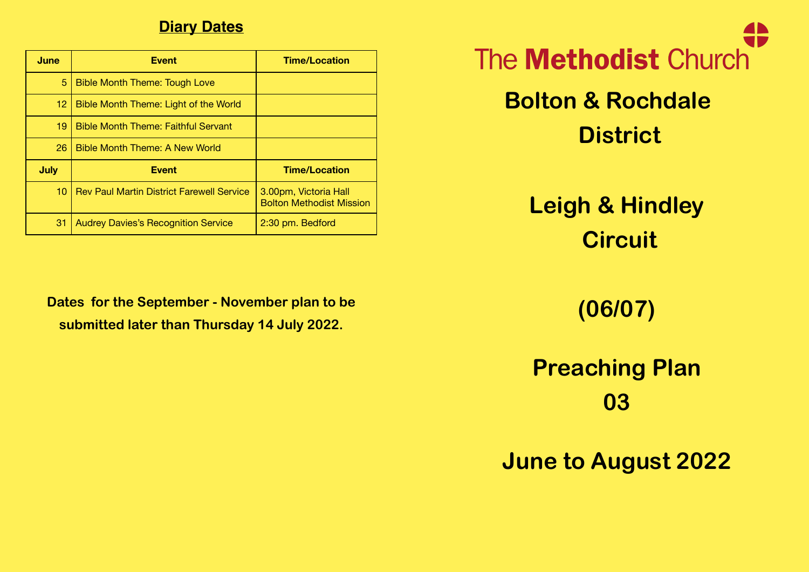## **Diary Dates**

| June              | <b>Event</b>                                     | <b>Time/Location</b>                                     |  |  |  |  |
|-------------------|--------------------------------------------------|----------------------------------------------------------|--|--|--|--|
| 5                 | <b>Bible Month Theme: Tough Love</b>             |                                                          |  |  |  |  |
| $12 \overline{ }$ | Bible Month Theme: Light of the World            |                                                          |  |  |  |  |
| 19                | <b>Bible Month Theme: Faithful Servant</b>       |                                                          |  |  |  |  |
| 26                | Bible Month Theme: A New World                   |                                                          |  |  |  |  |
| <b>July</b>       | <b>Event</b>                                     | <b>Time/Location</b>                                     |  |  |  |  |
| 10 <sup>1</sup>   | <b>Rev Paul Martin District Farewell Service</b> | 3.00pm, Victoria Hall<br><b>Bolton Methodist Mission</b> |  |  |  |  |
| 31                | <b>Audrey Davies's Recognition Service</b>       | 2:30 pm. Bedford                                         |  |  |  |  |

**Dates for the September - November plan to be submitted later than Thursday 14 July 2022.** 

The **Methodist** Church **Bolton & Rochdale District**

> **Leigh & Hindley Circuit**

> > **(06/07)**

**Preaching Plan 03**

**June to August 2022**